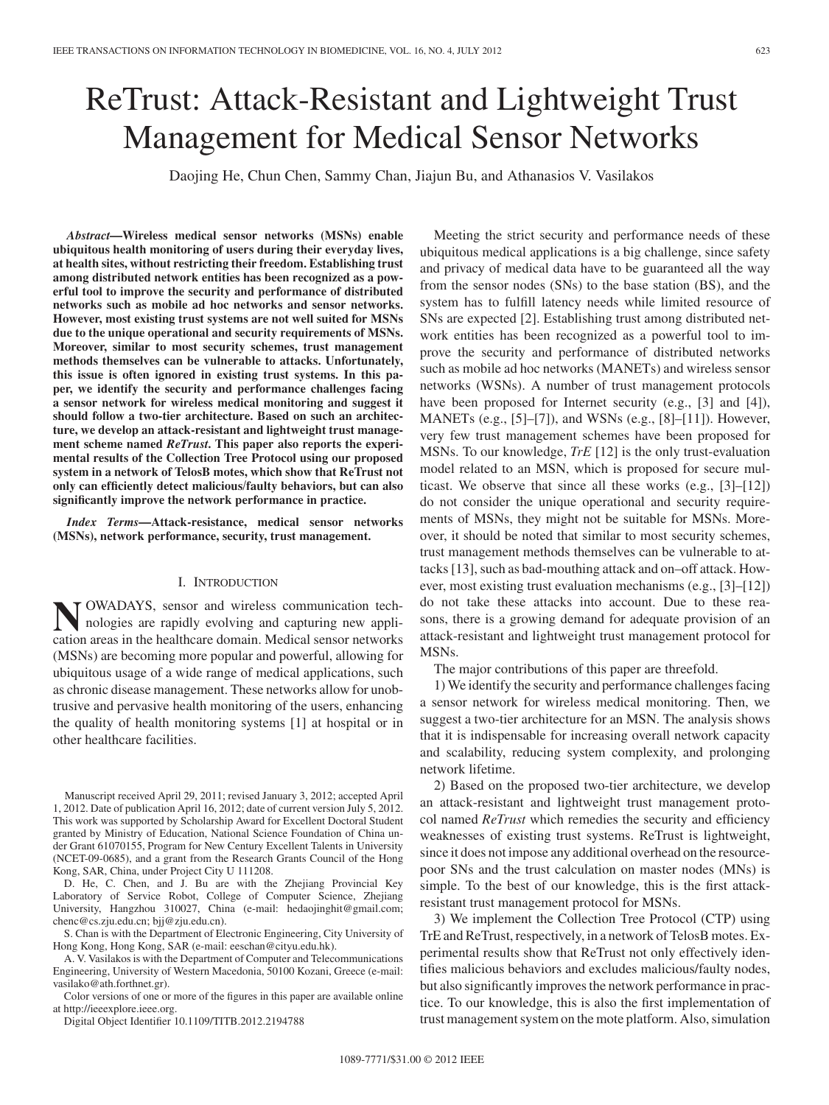# ReTrust: Attack-Resistant and Lightweight Trust Management for Medical Sensor Networks

Daojing He, Chun Chen, Sammy Chan, Jiajun Bu, and Athanasios V. Vasilakos

*Abstract***—Wireless medical sensor networks (MSNs) enable ubiquitous health monitoring of users during their everyday lives, at health sites, without restricting their freedom. Establishing trust among distributed network entities has been recognized as a powerful tool to improve the security and performance of distributed networks such as mobile ad hoc networks and sensor networks. However, most existing trust systems are not well suited for MSNs due to the unique operational and security requirements of MSNs. Moreover, similar to most security schemes, trust management methods themselves can be vulnerable to attacks. Unfortunately, this issue is often ignored in existing trust systems. In this paper, we identify the security and performance challenges facing a sensor network for wireless medical monitoring and suggest it should follow a two-tier architecture. Based on such an architecture, we develop an attack-resistant and lightweight trust management scheme named** *ReTrust***. This paper also reports the experimental results of the Collection Tree Protocol using our proposed system in a network of TelosB motes, which show that ReTrust not only can efficiently detect malicious/faulty behaviors, but can also significantly improve the network performance in practice.**

*Index Terms***—Attack-resistance, medical sensor networks (MSNs), network performance, security, trust management.**

## I. INTRODUCTION

**NOWADAYS**, sensor and wireless communication tech-<br>nologies are rapidly evolving and capturing new appli-<br>cation grace in the healthcare domain. Medical sensor naturals cation areas in the healthcare domain. Medical sensor networks (MSNs) are becoming more popular and powerful, allowing for ubiquitous usage of a wide range of medical applications, such as chronic disease management. These networks allow for unobtrusive and pervasive health monitoring of the users, enhancing the quality of health monitoring systems [1] at hospital or in other healthcare facilities.

Manuscript received April 29, 2011; revised January 3, 2012; accepted April 1, 2012. Date of publication April 16, 2012; date of current version July 5, 2012. This work was supported by Scholarship Award for Excellent Doctoral Student granted by Ministry of Education, National Science Foundation of China under Grant 61070155, Program for New Century Excellent Talents in University (NCET-09-0685), and a grant from the Research Grants Council of the Hong Kong, SAR, China, under Project City U 111208.

D. He, C. Chen, and J. Bu are with the Zhejiang Provincial Key Laboratory of Service Robot, College of Computer Science, Zhejiang University, Hangzhou 310027, China (e-mail: hedaojinghit@gmail.com; chenc@cs.zju.edu.cn; bjj@zju.edu.cn).

S. Chan is with the Department of Electronic Engineering, City University of Hong Kong, Hong Kong, SAR (e-mail: eeschan@cityu.edu.hk).

A. V. Vasilakos is with the Department of Computer and Telecommunications Engineering, University of Western Macedonia, 50100 Kozani, Greece (e-mail: vasilako@ath.forthnet.gr).

Color versions of one or more of the figures in this paper are available online at http://ieeexplore.ieee.org.

Digital Object Identifier 10.1109/TITB.2012.2194788

Meeting the strict security and performance needs of these ubiquitous medical applications is a big challenge, since safety and privacy of medical data have to be guaranteed all the way from the sensor nodes (SNs) to the base station (BS), and the system has to fulfill latency needs while limited resource of SNs are expected [2]. Establishing trust among distributed network entities has been recognized as a powerful tool to improve the security and performance of distributed networks such as mobile ad hoc networks (MANETs) and wireless sensor networks (WSNs). A number of trust management protocols have been proposed for Internet security (e.g., [3] and [4]), MANETs (e.g., [5]–[7]), and WSNs (e.g., [8]–[11]). However, very few trust management schemes have been proposed for MSNs. To our knowledge, *TrE* [12] is the only trust-evaluation model related to an MSN, which is proposed for secure multicast. We observe that since all these works (e.g., [3]–[12]) do not consider the unique operational and security requirements of MSNs, they might not be suitable for MSNs. Moreover, it should be noted that similar to most security schemes, trust management methods themselves can be vulnerable to attacks [13], such as bad-mouthing attack and on–off attack. However, most existing trust evaluation mechanisms (e.g., [3]–[12]) do not take these attacks into account. Due to these reasons, there is a growing demand for adequate provision of an attack-resistant and lightweight trust management protocol for MSNs.

The major contributions of this paper are threefold.

1) We identify the security and performance challenges facing a sensor network for wireless medical monitoring. Then, we suggest a two-tier architecture for an MSN. The analysis shows that it is indispensable for increasing overall network capacity and scalability, reducing system complexity, and prolonging network lifetime.

2) Based on the proposed two-tier architecture, we develop an attack-resistant and lightweight trust management protocol named *ReTrust* which remedies the security and efficiency weaknesses of existing trust systems. ReTrust is lightweight, since it does not impose any additional overhead on the resourcepoor SNs and the trust calculation on master nodes (MNs) is simple. To the best of our knowledge, this is the first attackresistant trust management protocol for MSNs.

3) We implement the Collection Tree Protocol (CTP) using TrE and ReTrust, respectively, in a network of TelosB motes. Experimental results show that ReTrust not only effectively identifies malicious behaviors and excludes malicious/faulty nodes, but also significantly improves the network performance in practice. To our knowledge, this is also the first implementation of trust management system on the mote platform. Also, simulation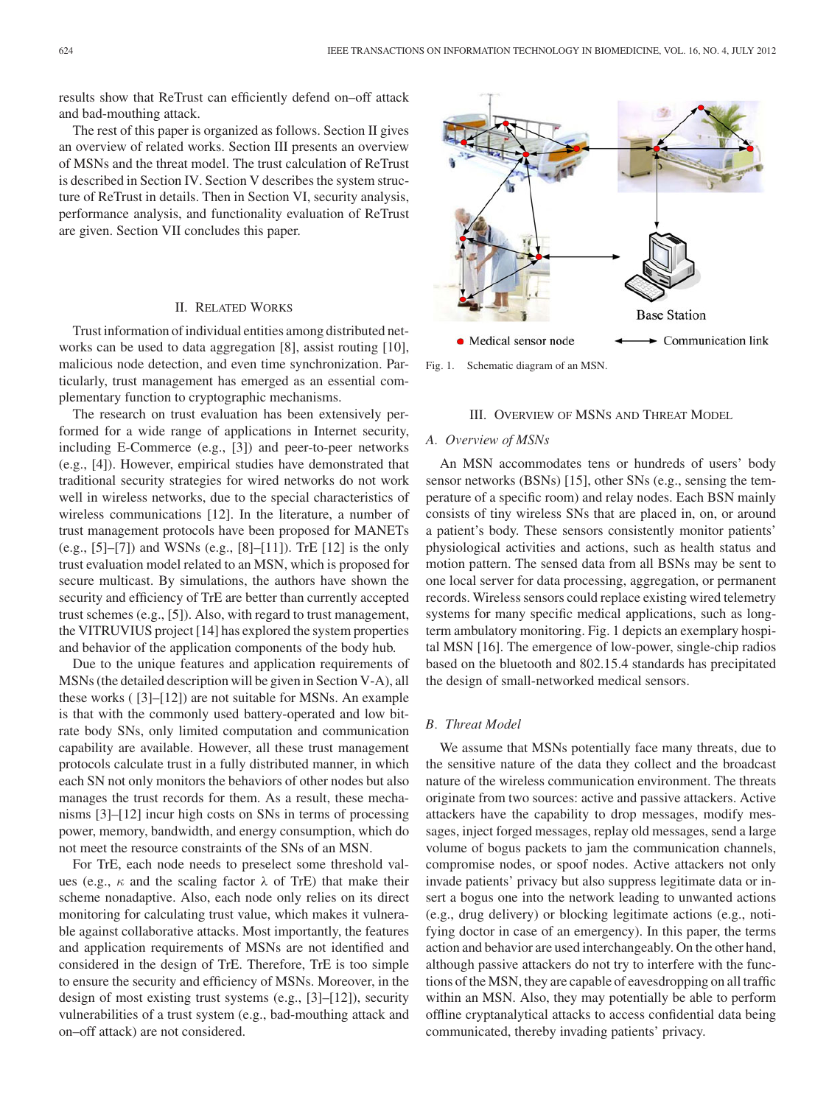results show that ReTrust can efficiently defend on–off attack and bad-mouthing attack.

The rest of this paper is organized as follows. Section II gives an overview of related works. Section III presents an overview of MSNs and the threat model. The trust calculation of ReTrust is described in Section IV. Section V describes the system structure of ReTrust in details. Then in Section VI, security analysis, performance analysis, and functionality evaluation of ReTrust are given. Section VII concludes this paper.

# II. RELATED WORKS

Trust information of individual entities among distributed networks can be used to data aggregation [8], assist routing [10], malicious node detection, and even time synchronization. Particularly, trust management has emerged as an essential complementary function to cryptographic mechanisms.

The research on trust evaluation has been extensively performed for a wide range of applications in Internet security, including E-Commerce (e.g., [3]) and peer-to-peer networks (e.g., [4]). However, empirical studies have demonstrated that traditional security strategies for wired networks do not work well in wireless networks, due to the special characteristics of wireless communications [12]. In the literature, a number of trust management protocols have been proposed for MANETs (e.g., [5]–[7]) and WSNs (e.g., [8]–[11]). TrE [12] is the only trust evaluation model related to an MSN, which is proposed for secure multicast. By simulations, the authors have shown the security and efficiency of TrE are better than currently accepted trust schemes (e.g., [5]). Also, with regard to trust management, the VITRUVIUS project [14] has explored the system properties and behavior of the application components of the body hub.

Due to the unique features and application requirements of MSNs (the detailed description will be given in Section V-A), all these works ( [3]–[12]) are not suitable for MSNs. An example is that with the commonly used battery-operated and low bitrate body SNs, only limited computation and communication capability are available. However, all these trust management protocols calculate trust in a fully distributed manner, in which each SN not only monitors the behaviors of other nodes but also manages the trust records for them. As a result, these mechanisms [3]–[12] incur high costs on SNs in terms of processing power, memory, bandwidth, and energy consumption, which do not meet the resource constraints of the SNs of an MSN.

For TrE, each node needs to preselect some threshold values (e.g.,  $\kappa$  and the scaling factor  $\lambda$  of TrE) that make their scheme nonadaptive. Also, each node only relies on its direct monitoring for calculating trust value, which makes it vulnerable against collaborative attacks. Most importantly, the features and application requirements of MSNs are not identified and considered in the design of TrE. Therefore, TrE is too simple to ensure the security and efficiency of MSNs. Moreover, in the design of most existing trust systems (e.g., [3]–[12]), security vulnerabilities of a trust system (e.g., bad-mouthing attack and on–off attack) are not considered.



Fig. 1. Schematic diagram of an MSN.

### III. OVERVIEW OF MSNS AND THREAT MODEL

### *A. Overview of MSNs*

An MSN accommodates tens or hundreds of users' body sensor networks (BSNs) [15], other SNs (e.g., sensing the temperature of a specific room) and relay nodes. Each BSN mainly consists of tiny wireless SNs that are placed in, on, or around a patient's body. These sensors consistently monitor patients' physiological activities and actions, such as health status and motion pattern. The sensed data from all BSNs may be sent to one local server for data processing, aggregation, or permanent records. Wireless sensors could replace existing wired telemetry systems for many specific medical applications, such as longterm ambulatory monitoring. Fig. 1 depicts an exemplary hospital MSN [16]. The emergence of low-power, single-chip radios based on the bluetooth and 802.15.4 standards has precipitated the design of small-networked medical sensors.

## *B. Threat Model*

We assume that MSNs potentially face many threats, due to the sensitive nature of the data they collect and the broadcast nature of the wireless communication environment. The threats originate from two sources: active and passive attackers. Active attackers have the capability to drop messages, modify messages, inject forged messages, replay old messages, send a large volume of bogus packets to jam the communication channels, compromise nodes, or spoof nodes. Active attackers not only invade patients' privacy but also suppress legitimate data or insert a bogus one into the network leading to unwanted actions (e.g., drug delivery) or blocking legitimate actions (e.g., notifying doctor in case of an emergency). In this paper, the terms action and behavior are used interchangeably. On the other hand, although passive attackers do not try to interfere with the functions of the MSN, they are capable of eavesdropping on all traffic within an MSN. Also, they may potentially be able to perform offline cryptanalytical attacks to access confidential data being communicated, thereby invading patients' privacy.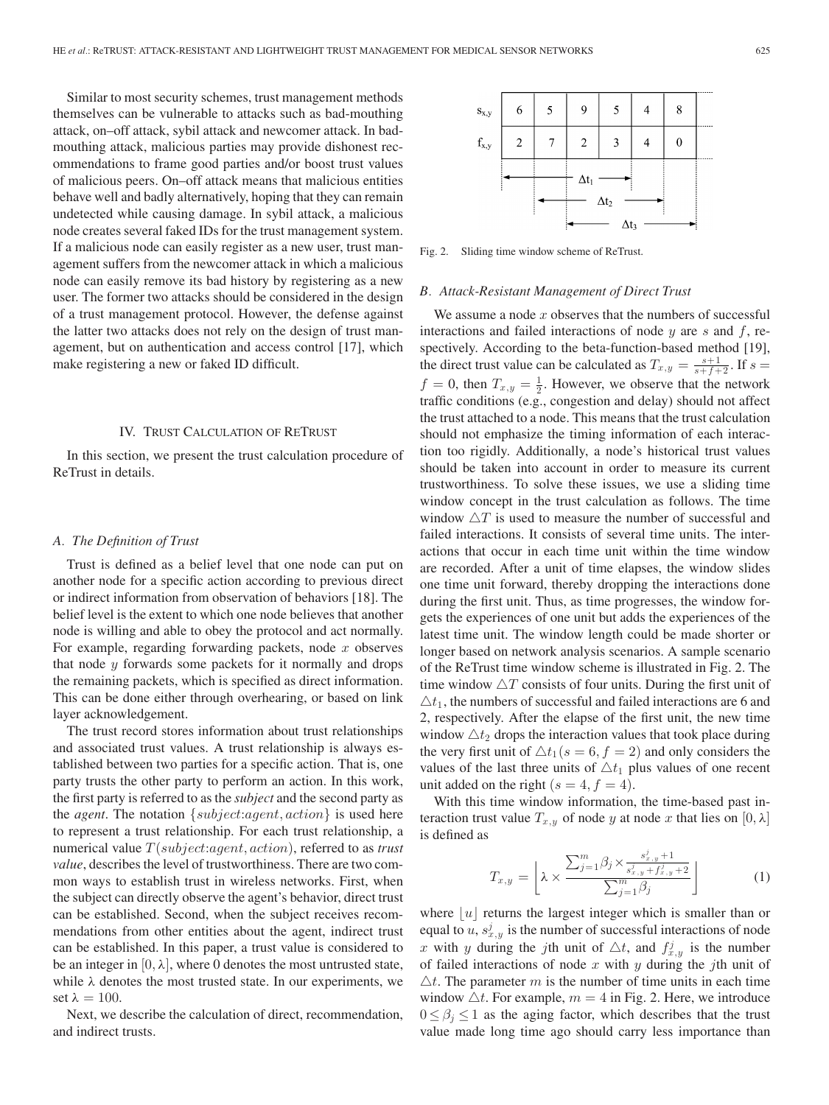Similar to most security schemes, trust management methods themselves can be vulnerable to attacks such as bad-mouthing attack, on–off attack, sybil attack and newcomer attack. In badmouthing attack, malicious parties may provide dishonest recommendations to frame good parties and/or boost trust values of malicious peers. On–off attack means that malicious entities behave well and badly alternatively, hoping that they can remain undetected while causing damage. In sybil attack, a malicious node creates several faked IDs for the trust management system. If a malicious node can easily register as a new user, trust management suffers from the newcomer attack in which a malicious node can easily remove its bad history by registering as a new user. The former two attacks should be considered in the design of a trust management protocol. However, the defense against the latter two attacks does not rely on the design of trust management, but on authentication and access control [17], which make registering a new or faked ID difficult.

## IV. TRUST CALCULATION OF RETRUST

In this section, we present the trust calculation procedure of ReTrust in details.

#### *A. The Definition of Trust*

Trust is defined as a belief level that one node can put on another node for a specific action according to previous direct or indirect information from observation of behaviors [18]. The belief level is the extent to which one node believes that another node is willing and able to obey the protocol and act normally. For example, regarding forwarding packets, node  $x$  observes that node  $y$  forwards some packets for it normally and drops the remaining packets, which is specified as direct information. This can be done either through overhearing, or based on link layer acknowledgement.

The trust record stores information about trust relationships and associated trust values. A trust relationship is always established between two parties for a specific action. That is, one party trusts the other party to perform an action. In this work, the first party is referred to as the *subject* and the second party as the *agent*. The notation {subject:agent,action} is used here to represent a trust relationship. For each trust relationship, a numerical value T(subject:agent,action), referred to as *trust value*, describes the level of trustworthiness. There are two common ways to establish trust in wireless networks. First, when the subject can directly observe the agent's behavior, direct trust can be established. Second, when the subject receives recommendations from other entities about the agent, indirect trust can be established. In this paper, a trust value is considered to be an integer in  $[0, \lambda]$ , where 0 denotes the most untrusted state, while  $\lambda$  denotes the most trusted state. In our experiments, we set  $\lambda = 100$ .

Next, we describe the calculation of direct, recommendation, and indirect trusts.



Fig. 2. Sliding time window scheme of ReTrust.

## *B. Attack-Resistant Management of Direct Trust*

We assume a node  $x$  observes that the numbers of successful interactions and failed interactions of node  $y$  are s and  $f$ , respectively. According to the beta-function-based method [19], the direct trust value can be calculated as  $T_{x,y} = \frac{s+1}{s+f+2}$ . If  $s =$  $f = 0$ , then  $T_{x,y} = \frac{1}{2}$ . However, we observe that the network traffic conditions (e.g., congestion and delay) should not affect the trust attached to a node. This means that the trust calculation should not emphasize the timing information of each interaction too rigidly. Additionally, a node's historical trust values should be taken into account in order to measure its current trustworthiness. To solve these issues, we use a sliding time window concept in the trust calculation as follows. The time window  $\Delta T$  is used to measure the number of successful and failed interactions. It consists of several time units. The interactions that occur in each time unit within the time window are recorded. After a unit of time elapses, the window slides one time unit forward, thereby dropping the interactions done during the first unit. Thus, as time progresses, the window forgets the experiences of one unit but adds the experiences of the latest time unit. The window length could be made shorter or longer based on network analysis scenarios. A sample scenario of the ReTrust time window scheme is illustrated in Fig. 2. The time window  $\triangle T$  consists of four units. During the first unit of  $\triangle t_1$ , the numbers of successful and failed interactions are 6 and 2, respectively. After the elapse of the first unit, the new time window  $\triangle t_2$  drops the interaction values that took place during the very first unit of  $\triangle t_1$  ( $s = 6, f = 2$ ) and only considers the values of the last three units of  $\Delta t_1$  plus values of one recent unit added on the right  $(s = 4, f = 4)$ .

With this time window information, the time-based past interaction trust value  $T_{x,y}$  of node y at node x that lies on  $[0, \lambda]$ is defined as

$$
T_{x,y} = \left[ \lambda \times \frac{\sum_{j=1}^{m} \beta_j \times \frac{s_{x,y}^j + 1}{s_{x,y}^j + f_{x,y}^j + 2}}{\sum_{j=1}^{m} \beta_j} \right]
$$
(1)

where  $\lfloor u \rfloor$  returns the largest integer which is smaller than or equal to  $u, s_{x,y}^j$  is the number of successful interactions of node x with y during the jth unit of  $\triangle t$ , and  $f_{x,y}^{j}$  is the number of failed interactions of node  $x$  with  $y$  during the jth unit of  $\triangle t$ . The parameter m is the number of time units in each time window  $\triangle t$ . For example,  $m = 4$  in Fig. 2. Here, we introduce  $0 \leq \beta_i \leq 1$  as the aging factor, which describes that the trust value made long time ago should carry less importance than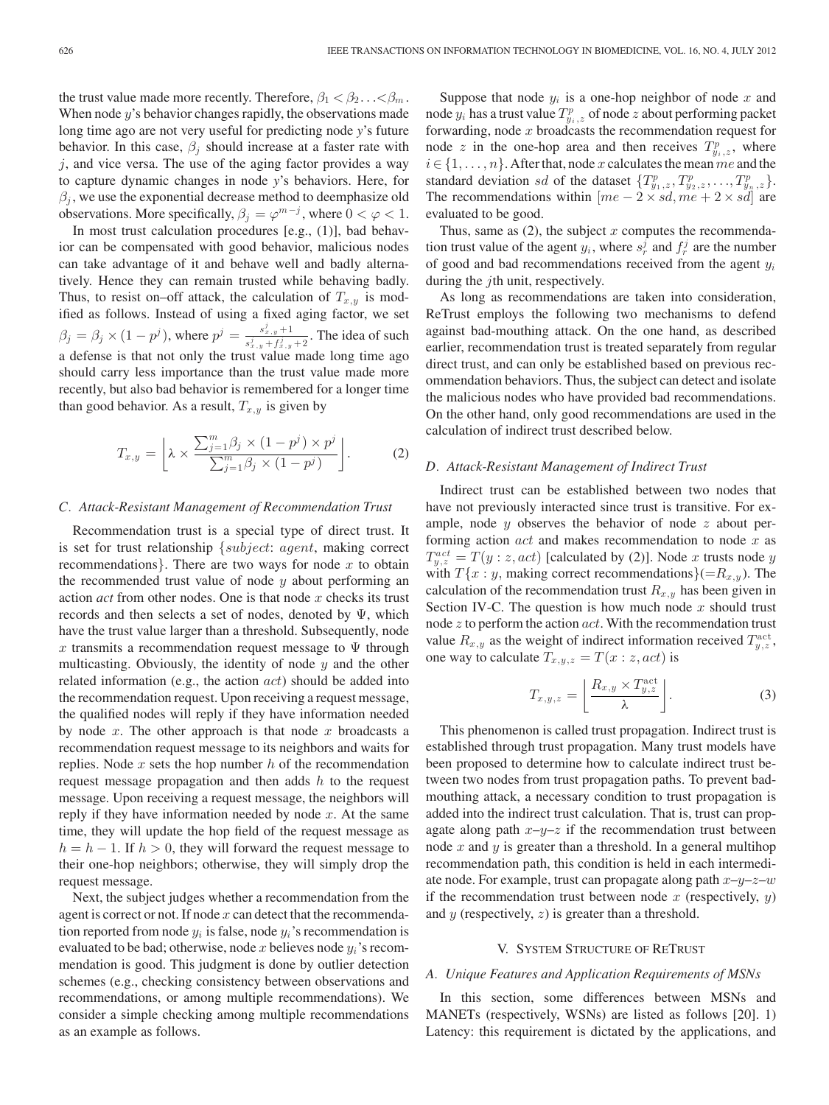the trust value made more recently. Therefore,  $\beta_1 < \beta_2 \ldots < \beta_m$ . When node  $y$ 's behavior changes rapidly, the observations made long time ago are not very useful for predicting node *y*'s future behavior. In this case,  $\beta_i$  should increase at a faster rate with  $j$ , and vice versa. The use of the aging factor provides a way to capture dynamic changes in node *y*'s behaviors. Here, for  $\beta_i$ , we use the exponential decrease method to deemphasize old observations. More specifically,  $\beta_j = \varphi^{m-j}$ , where  $0 < \varphi < 1$ .

In most trust calculation procedures [e.g., (1)], bad behavior can be compensated with good behavior, malicious nodes can take advantage of it and behave well and badly alternatively. Hence they can remain trusted while behaving badly. Thus, to resist on–off attack, the calculation of  $T_{x,y}$  is modified as follows. Instead of using a fixed aging factor, we set  $\beta_j = \beta_j \times (1 - p^j)$ , where  $p^j = \frac{s_{x,y}^j + 1}{s_{y,y}^j + 1}$  $\frac{s_{x,y}+1}{s_{x,y}^j+f_{x,y}^j+2}$ . The idea of such a defense is that not only the trust value made long time ago should carry less importance than the trust value made more recently, but also bad behavior is remembered for a longer time than good behavior. As a result,  $T_{x,y}$  is given by

$$
T_{x,y} = \left[ \lambda \times \frac{\sum_{j=1}^{m} \beta_j \times (1 - p^j) \times p^j}{\sum_{j=1}^{m} \beta_j \times (1 - p^j)} \right].
$$
 (2)

## *C. Attack-Resistant Management of Recommendation Trust*

Recommendation trust is a special type of direct trust. It is set for trust relationship {subject: agent, making correct recommendations}. There are two ways for node  $x$  to obtain the recommended trust value of node  $y$  about performing an action *act* from other nodes. One is that node x checks its trust records and then selects a set of nodes, denoted by Ψ, which have the trust value larger than a threshold. Subsequently, node x transmits a recommendation request message to  $\Psi$  through multicasting. Obviously, the identity of node  $y$  and the other related information (e.g., the action act) should be added into the recommendation request. Upon receiving a request message, the qualified nodes will reply if they have information needed by node  $x$ . The other approach is that node  $x$  broadcasts a recommendation request message to its neighbors and waits for replies. Node  $x$  sets the hop number  $h$  of the recommendation request message propagation and then adds  $h$  to the request message. Upon receiving a request message, the neighbors will reply if they have information needed by node  $x$ . At the same time, they will update the hop field of the request message as  $h = h - 1$ . If  $h > 0$ , they will forward the request message to their one-hop neighbors; otherwise, they will simply drop the request message.

Next, the subject judges whether a recommendation from the agent is correct or not. If node  $x$  can detect that the recommendation reported from node  $y_i$  is false, node  $y_i$ 's recommendation is evaluated to be bad; otherwise, node x believes node  $y_i$ 's recommendation is good. This judgment is done by outlier detection schemes (e.g., checking consistency between observations and recommendations, or among multiple recommendations). We consider a simple checking among multiple recommendations as an example as follows.

Suppose that node  $y_i$  is a one-hop neighbor of node x and node  $y_i$  has a trust value  $T_{y_i,z}^p$  of node  $z$  about performing packet forwarding, node  $x$  broadcasts the recommendation request for node z in the one-hop area and then receives  $T_{y_i,z}^p$ , where  $i \in \{1, \ldots, n\}$ . After that, node x calculates the mean me and the standard deviation sd of the dataset  $\{T_{y_1,z}^p, T_{y_2,z}^p, \ldots, T_{y_n,z}^p\}.$ The recommendations within  $[me - 2 \times sd, me + 2 \times sd]$  are evaluated to be good.

Thus, same as  $(2)$ , the subject x computes the recommendation trust value of the agent  $y_i$ , where  $s_r^j$  and  $f_r^j$  are the number of good and bad recommendations received from the agent  $y_i$ during the *j*th unit, respectively.

As long as recommendations are taken into consideration, ReTrust employs the following two mechanisms to defend against bad-mouthing attack. On the one hand, as described earlier, recommendation trust is treated separately from regular direct trust, and can only be established based on previous recommendation behaviors. Thus, the subject can detect and isolate the malicious nodes who have provided bad recommendations. On the other hand, only good recommendations are used in the calculation of indirect trust described below.

### *D. Attack-Resistant Management of Indirect Trust*

Indirect trust can be established between two nodes that have not previously interacted since trust is transitive. For example, node  $y$  observes the behavior of node  $z$  about performing action  $act$  and makes recommendation to node x as  $T_{y,z}^{act} = T(y: z, act)$  [calculated by (2)]. Node x trusts node y with  $T\{x : y$ , making correct recommendations}(= $R_{x,y}$ ). The calculation of the recommendation trust  $R_{x,y}$  has been given in Section IV-C. The question is how much node  $x$  should trust node  $z$  to perform the action  $act$ . With the recommendation trust value  $R_{x,y}$  as the weight of indirect information received  $T_{y,z}^{\text{act}}$ , one way to calculate  $T_{x,y,z} = T(x : z, act)$  is

$$
T_{x,y,z} = \left\lfloor \frac{R_{x,y} \times T_{y,z}^{\text{act}}}{\lambda} \right\rfloor.
$$
 (3)

This phenomenon is called trust propagation. Indirect trust is established through trust propagation. Many trust models have been proposed to determine how to calculate indirect trust between two nodes from trust propagation paths. To prevent badmouthing attack, a necessary condition to trust propagation is added into the indirect trust calculation. That is, trust can propagate along path  $x-y-z$  if the recommendation trust between node x and  $y$  is greater than a threshold. In a general multihop recommendation path, this condition is held in each intermediate node. For example, trust can propagate along path  $x-y-z-w$ if the recommendation trust between node  $x$  (respectively,  $y$ ) and  $y$  (respectively,  $z$ ) is greater than a threshold.

## V. SYSTEM STRUCTURE OF RETRUST

## *A. Unique Features and Application Requirements of MSNs*

In this section, some differences between MSNs and MANETs (respectively, WSNs) are listed as follows [20]. 1) Latency: this requirement is dictated by the applications, and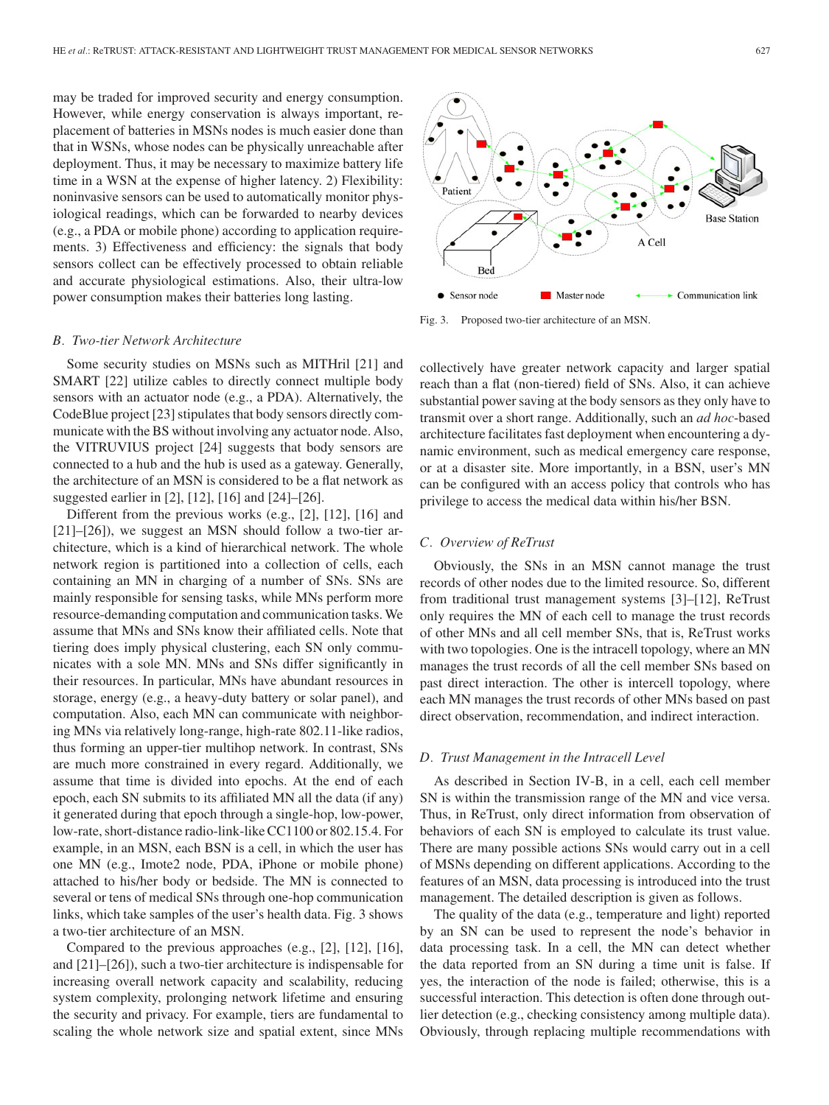may be traded for improved security and energy consumption. However, while energy conservation is always important, replacement of batteries in MSNs nodes is much easier done than that in WSNs, whose nodes can be physically unreachable after deployment. Thus, it may be necessary to maximize battery life time in a WSN at the expense of higher latency. 2) Flexibility: noninvasive sensors can be used to automatically monitor physiological readings, which can be forwarded to nearby devices (e.g., a PDA or mobile phone) according to application requirements. 3) Effectiveness and efficiency: the signals that body sensors collect can be effectively processed to obtain reliable and accurate physiological estimations. Also, their ultra-low power consumption makes their batteries long lasting.

#### *B. Two-tier Network Architecture*

Some security studies on MSNs such as MITHril [21] and SMART [22] utilize cables to directly connect multiple body sensors with an actuator node (e.g., a PDA). Alternatively, the CodeBlue project [23] stipulates that body sensors directly communicate with the BS without involving any actuator node. Also, the VITRUVIUS project [24] suggests that body sensors are connected to a hub and the hub is used as a gateway. Generally, the architecture of an MSN is considered to be a flat network as suggested earlier in [2], [12], [16] and [24]–[26].

Different from the previous works (e.g., [2], [12], [16] and [21]–[26]), we suggest an MSN should follow a two-tier architecture, which is a kind of hierarchical network. The whole network region is partitioned into a collection of cells, each containing an MN in charging of a number of SNs. SNs are mainly responsible for sensing tasks, while MNs perform more resource-demanding computation and communication tasks. We assume that MNs and SNs know their affiliated cells. Note that tiering does imply physical clustering, each SN only communicates with a sole MN. MNs and SNs differ significantly in their resources. In particular, MNs have abundant resources in storage, energy (e.g., a heavy-duty battery or solar panel), and computation. Also, each MN can communicate with neighboring MNs via relatively long-range, high-rate 802.11-like radios, thus forming an upper-tier multihop network. In contrast, SNs are much more constrained in every regard. Additionally, we assume that time is divided into epochs. At the end of each epoch, each SN submits to its affiliated MN all the data (if any) it generated during that epoch through a single-hop, low-power, low-rate, short-distance radio-link-like CC1100 or 802.15.4. For example, in an MSN, each BSN is a cell, in which the user has one MN (e.g., Imote2 node, PDA, iPhone or mobile phone) attached to his/her body or bedside. The MN is connected to several or tens of medical SNs through one-hop communication links, which take samples of the user's health data. Fig. 3 shows a two-tier architecture of an MSN.

Compared to the previous approaches (e.g., [2], [12], [16], and [21]–[26]), such a two-tier architecture is indispensable for increasing overall network capacity and scalability, reducing system complexity, prolonging network lifetime and ensuring the security and privacy. For example, tiers are fundamental to scaling the whole network size and spatial extent, since MNs



Fig. 3. Proposed two-tier architecture of an MSN.

collectively have greater network capacity and larger spatial reach than a flat (non-tiered) field of SNs. Also, it can achieve substantial power saving at the body sensors as they only have to transmit over a short range. Additionally, such an *ad hoc*-based architecture facilitates fast deployment when encountering a dynamic environment, such as medical emergency care response, or at a disaster site. More importantly, in a BSN, user's MN can be configured with an access policy that controls who has privilege to access the medical data within his/her BSN.

## *C. Overview of ReTrust*

Obviously, the SNs in an MSN cannot manage the trust records of other nodes due to the limited resource. So, different from traditional trust management systems [3]–[12], ReTrust only requires the MN of each cell to manage the trust records of other MNs and all cell member SNs, that is, ReTrust works with two topologies. One is the intracell topology, where an MN manages the trust records of all the cell member SNs based on past direct interaction. The other is intercell topology, where each MN manages the trust records of other MNs based on past direct observation, recommendation, and indirect interaction.

### *D. Trust Management in the Intracell Level*

As described in Section IV-B, in a cell, each cell member SN is within the transmission range of the MN and vice versa. Thus, in ReTrust, only direct information from observation of behaviors of each SN is employed to calculate its trust value. There are many possible actions SNs would carry out in a cell of MSNs depending on different applications. According to the features of an MSN, data processing is introduced into the trust management. The detailed description is given as follows.

The quality of the data (e.g., temperature and light) reported by an SN can be used to represent the node's behavior in data processing task. In a cell, the MN can detect whether the data reported from an SN during a time unit is false. If yes, the interaction of the node is failed; otherwise, this is a successful interaction. This detection is often done through outlier detection (e.g., checking consistency among multiple data). Obviously, through replacing multiple recommendations with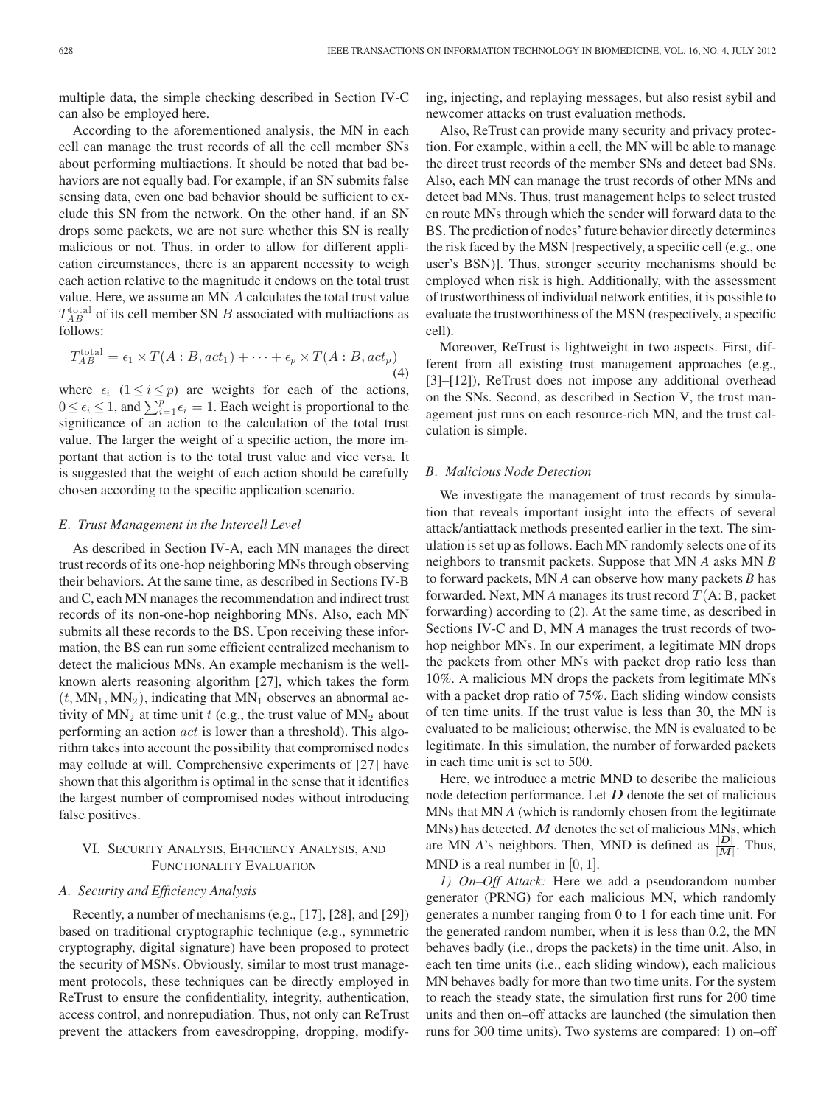multiple data, the simple checking described in Section IV-C can also be employed here.

According to the aforementioned analysis, the MN in each cell can manage the trust records of all the cell member SNs about performing multiactions. It should be noted that bad behaviors are not equally bad. For example, if an SN submits false sensing data, even one bad behavior should be sufficient to exclude this SN from the network. On the other hand, if an SN drops some packets, we are not sure whether this SN is really malicious or not. Thus, in order to allow for different application circumstances, there is an apparent necessity to weigh each action relative to the magnitude it endows on the total trust value. Here, we assume an MN A calculates the total trust value  $T_{AB}^{\text{total}}$  of its cell member SN B associated with multiactions as follows:

$$
T_{AB}^{\text{total}} = \epsilon_1 \times T(A:B, act_1) + \dots + \epsilon_p \times T(A:B, act_p)
$$
\n(4)

where  $\epsilon_i$  (1  $\leq$  i  $\leq$  p) are weights for each of the actions,  $0 \leq \epsilon_i \leq 1$ , and  $\sum_{i=1}^{p} \epsilon_i = 1$ . Each weight is proportional to the significance of an action to the calculation of the total trust value. The larger the weight of a specific action, the more important that action is to the total trust value and vice versa. It is suggested that the weight of each action should be carefully chosen according to the specific application scenario.

## *E. Trust Management in the Intercell Level*

As described in Section IV-A, each MN manages the direct trust records of its one-hop neighboring MNs through observing their behaviors. At the same time, as described in Sections IV-B and C, each MN manages the recommendation and indirect trust records of its non-one-hop neighboring MNs. Also, each MN submits all these records to the BS. Upon receiving these information, the BS can run some efficient centralized mechanism to detect the malicious MNs. An example mechanism is the wellknown alerts reasoning algorithm [27], which takes the form  $(t, MN_1, MN_2)$ , indicating that  $MN_1$  observes an abnormal activity of  $MN_2$  at time unit t (e.g., the trust value of  $MN_2$  about performing an action act is lower than a threshold). This algorithm takes into account the possibility that compromised nodes may collude at will. Comprehensive experiments of [27] have shown that this algorithm is optimal in the sense that it identifies the largest number of compromised nodes without introducing false positives.

# VI. SECURITY ANALYSIS, EFFICIENCY ANALYSIS, AND FUNCTIONALITY EVALUATION

# *A. Security and Efficiency Analysis*

Recently, a number of mechanisms (e.g., [17], [28], and [29]) based on traditional cryptographic technique (e.g., symmetric cryptography, digital signature) have been proposed to protect the security of MSNs. Obviously, similar to most trust management protocols, these techniques can be directly employed in ReTrust to ensure the confidentiality, integrity, authentication, access control, and nonrepudiation. Thus, not only can ReTrust prevent the attackers from eavesdropping, dropping, modifying, injecting, and replaying messages, but also resist sybil and newcomer attacks on trust evaluation methods.

Also, ReTrust can provide many security and privacy protection. For example, within a cell, the MN will be able to manage the direct trust records of the member SNs and detect bad SNs. Also, each MN can manage the trust records of other MNs and detect bad MNs. Thus, trust management helps to select trusted en route MNs through which the sender will forward data to the BS. The prediction of nodes' future behavior directly determines the risk faced by the MSN [respectively, a specific cell (e.g., one user's BSN)]. Thus, stronger security mechanisms should be employed when risk is high. Additionally, with the assessment of trustworthiness of individual network entities, it is possible to evaluate the trustworthiness of the MSN (respectively, a specific cell).

Moreover, ReTrust is lightweight in two aspects. First, different from all existing trust management approaches (e.g., [3]–[12]), ReTrust does not impose any additional overhead on the SNs. Second, as described in Section V, the trust management just runs on each resource-rich MN, and the trust calculation is simple.

## *B. Malicious Node Detection*

We investigate the management of trust records by simulation that reveals important insight into the effects of several attack/antiattack methods presented earlier in the text. The simulation is set up as follows. Each MN randomly selects one of its neighbors to transmit packets. Suppose that MN *A* asks MN *B* to forward packets, MN *A* can observe how many packets *B* has forwarded. Next, MN  $\vec{A}$  manages its trust record  $T(A; B)$ , packet forwarding) according to (2). At the same time, as described in Sections IV-C and D, MN *A* manages the trust records of twohop neighbor MNs. In our experiment, a legitimate MN drops the packets from other MNs with packet drop ratio less than 10%. A malicious MN drops the packets from legitimate MNs with a packet drop ratio of 75%. Each sliding window consists of ten time units. If the trust value is less than 30, the MN is evaluated to be malicious; otherwise, the MN is evaluated to be legitimate. In this simulation, the number of forwarded packets in each time unit is set to 500.

Here, we introduce a metric MND to describe the malicious node detection performance. Let *D* denote the set of malicious MNs that MN *A* (which is randomly chosen from the legitimate MNs) has detected. *M* denotes the set of malicious MNs, which are MN *A*'s neighbors. Then, MND is defined as  $\frac{|D|}{|M|}$ . Thus, MND is a real number in  $[0, 1]$ .

*1) On–Off Attack:* Here we add a pseudorandom number generator (PRNG) for each malicious MN, which randomly generates a number ranging from 0 to 1 for each time unit. For the generated random number, when it is less than 0.2, the MN behaves badly (i.e., drops the packets) in the time unit. Also, in each ten time units (i.e., each sliding window), each malicious MN behaves badly for more than two time units. For the system to reach the steady state, the simulation first runs for 200 time units and then on–off attacks are launched (the simulation then runs for 300 time units). Two systems are compared: 1) on–off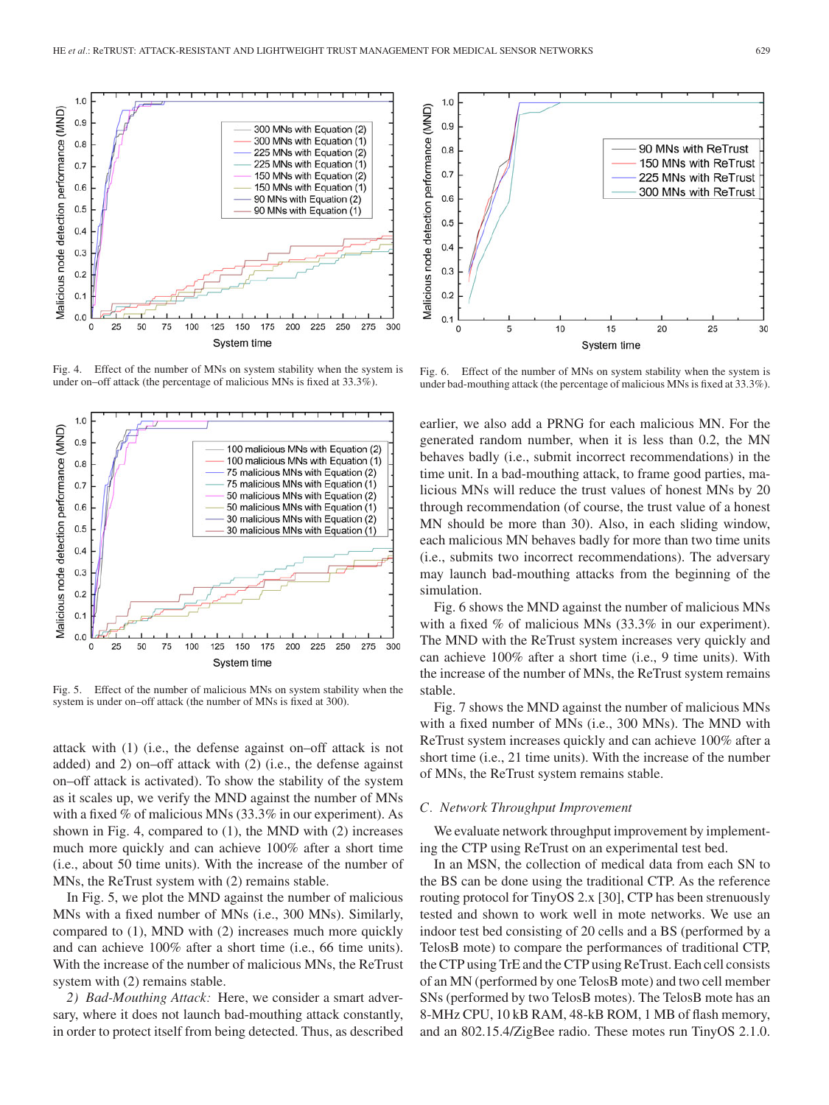

Fig. 4. Effect of the number of MNs on system stability when the system is under on–off attack (the percentage of malicious MNs is fixed at 33.3%).



Fig. 5. Effect of the number of malicious MNs on system stability when the system is under on–off attack (the number of MNs is fixed at 300).

attack with (1) (i.e., the defense against on–off attack is not added) and 2) on–off attack with (2) (i.e., the defense against on–off attack is activated). To show the stability of the system as it scales up, we verify the MND against the number of MNs with a fixed % of malicious MNs (33.3% in our experiment). As shown in Fig. 4, compared to (1), the MND with (2) increases much more quickly and can achieve 100% after a short time (i.e., about 50 time units). With the increase of the number of MNs, the ReTrust system with (2) remains stable.

In Fig. 5, we plot the MND against the number of malicious MNs with a fixed number of MNs (i.e., 300 MNs). Similarly, compared to (1), MND with (2) increases much more quickly and can achieve 100% after a short time (i.e., 66 time units). With the increase of the number of malicious MNs, the ReTrust system with (2) remains stable.

*2) Bad-Mouthing Attack:* Here, we consider a smart adversary, where it does not launch bad-mouthing attack constantly, in order to protect itself from being detected. Thus, as described



Fig. 6. Effect of the number of MNs on system stability when the system is under bad-mouthing attack (the percentage of malicious MNs is fixed at 33.3%).

earlier, we also add a PRNG for each malicious MN. For the generated random number, when it is less than 0.2, the MN behaves badly (i.e., submit incorrect recommendations) in the time unit. In a bad-mouthing attack, to frame good parties, malicious MNs will reduce the trust values of honest MNs by 20 through recommendation (of course, the trust value of a honest MN should be more than 30). Also, in each sliding window, each malicious MN behaves badly for more than two time units (i.e., submits two incorrect recommendations). The adversary may launch bad-mouthing attacks from the beginning of the simulation.

Fig. 6 shows the MND against the number of malicious MNs with a fixed % of malicious MNs (33.3% in our experiment). The MND with the ReTrust system increases very quickly and can achieve 100% after a short time (i.e., 9 time units). With the increase of the number of MNs, the ReTrust system remains stable.

Fig. 7 shows the MND against the number of malicious MNs with a fixed number of MNs (i.e., 300 MNs). The MND with ReTrust system increases quickly and can achieve 100% after a short time (i.e., 21 time units). With the increase of the number of MNs, the ReTrust system remains stable.

## *C. Network Throughput Improvement*

We evaluate network throughput improvement by implementing the CTP using ReTrust on an experimental test bed.

In an MSN, the collection of medical data from each SN to the BS can be done using the traditional CTP. As the reference routing protocol for TinyOS 2.x [30], CTP has been strenuously tested and shown to work well in mote networks. We use an indoor test bed consisting of 20 cells and a BS (performed by a TelosB mote) to compare the performances of traditional CTP, the CTP using TrE and the CTP using ReTrust. Each cell consists of an MN (performed by one TelosB mote) and two cell member SNs (performed by two TelosB motes). The TelosB mote has an 8-MHz CPU, 10 kB RAM, 48-kB ROM, 1 MB of flash memory, and an 802.15.4/ZigBee radio. These motes run TinyOS 2.1.0.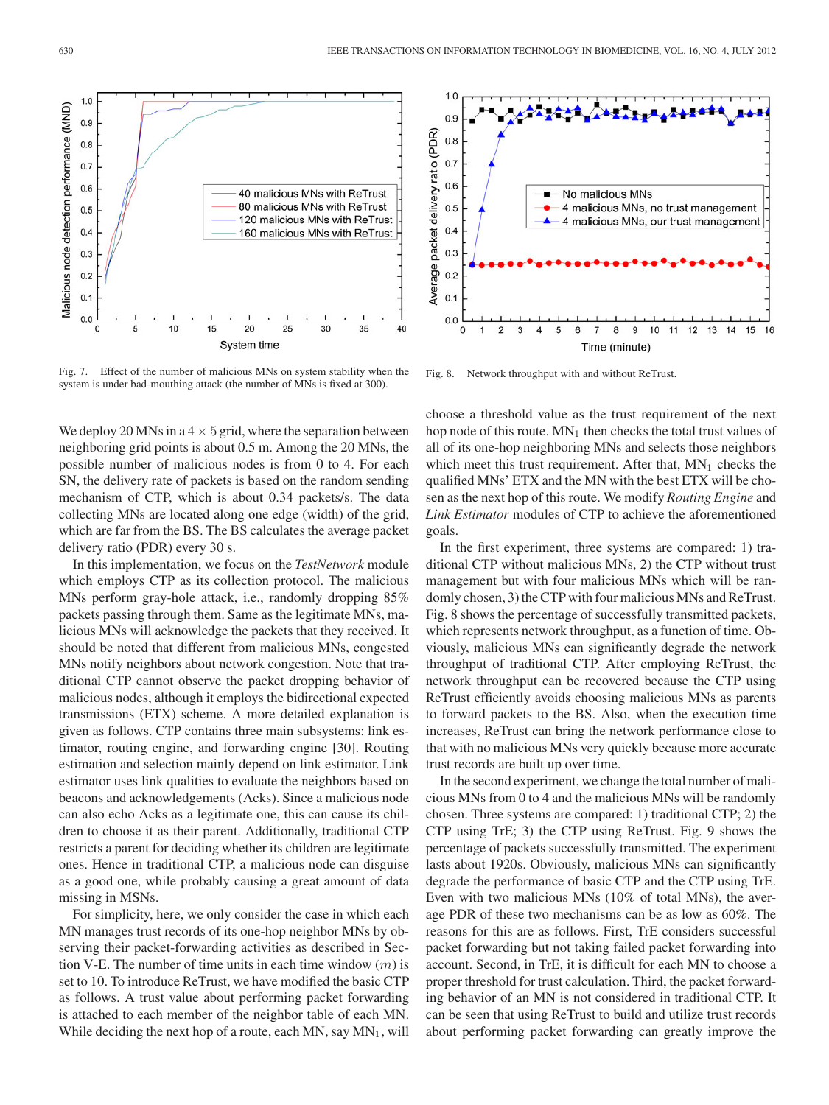

Fig. 7. Effect of the number of malicious MNs on system stability when the system is under bad-mouthing attack (the number of MNs is fixed at 300).

We deploy 20 MNs in a  $4 \times 5$  grid, where the separation between neighboring grid points is about 0.5 m. Among the 20 MNs, the possible number of malicious nodes is from 0 to 4. For each SN, the delivery rate of packets is based on the random sending mechanism of CTP, which is about 0.34 packets/s. The data collecting MNs are located along one edge (width) of the grid, which are far from the BS. The BS calculates the average packet delivery ratio (PDR) every 30 s.

In this implementation, we focus on the *TestNetwork* module which employs CTP as its collection protocol. The malicious MNs perform gray-hole attack, i.e., randomly dropping 85% packets passing through them. Same as the legitimate MNs, malicious MNs will acknowledge the packets that they received. It should be noted that different from malicious MNs, congested MNs notify neighbors about network congestion. Note that traditional CTP cannot observe the packet dropping behavior of malicious nodes, although it employs the bidirectional expected transmissions (ETX) scheme. A more detailed explanation is given as follows. CTP contains three main subsystems: link estimator, routing engine, and forwarding engine [30]. Routing estimation and selection mainly depend on link estimator. Link estimator uses link qualities to evaluate the neighbors based on beacons and acknowledgements (Acks). Since a malicious node can also echo Acks as a legitimate one, this can cause its children to choose it as their parent. Additionally, traditional CTP restricts a parent for deciding whether its children are legitimate ones. Hence in traditional CTP, a malicious node can disguise as a good one, while probably causing a great amount of data missing in MSNs.

For simplicity, here, we only consider the case in which each MN manages trust records of its one-hop neighbor MNs by observing their packet-forwarding activities as described in Section V-E. The number of time units in each time window  $(m)$  is set to 10. To introduce ReTrust, we have modified the basic CTP as follows. A trust value about performing packet forwarding is attached to each member of the neighbor table of each MN. While deciding the next hop of a route, each MN, say  $MN_1$ , will



Fig. 8. Network throughput with and without ReTrust.

choose a threshold value as the trust requirement of the next hop node of this route.  $MN_1$  then checks the total trust values of all of its one-hop neighboring MNs and selects those neighbors which meet this trust requirement. After that,  $MN_1$  checks the qualified MNs' ETX and the MN with the best ETX will be chosen as the next hop of this route. We modify *Routing Engine* and *Link Estimator* modules of CTP to achieve the aforementioned goals.

In the first experiment, three systems are compared: 1) traditional CTP without malicious MNs, 2) the CTP without trust management but with four malicious MNs which will be randomly chosen, 3) the CTP with four malicious MNs and ReTrust. Fig. 8 shows the percentage of successfully transmitted packets, which represents network throughput, as a function of time. Obviously, malicious MNs can significantly degrade the network throughput of traditional CTP. After employing ReTrust, the network throughput can be recovered because the CTP using ReTrust efficiently avoids choosing malicious MNs as parents to forward packets to the BS. Also, when the execution time increases, ReTrust can bring the network performance close to that with no malicious MNs very quickly because more accurate trust records are built up over time.

In the second experiment, we change the total number of malicious MNs from 0 to 4 and the malicious MNs will be randomly chosen. Three systems are compared: 1) traditional CTP; 2) the CTP using TrE; 3) the CTP using ReTrust. Fig. 9 shows the percentage of packets successfully transmitted. The experiment lasts about 1920s. Obviously, malicious MNs can significantly degrade the performance of basic CTP and the CTP using TrE. Even with two malicious MNs (10% of total MNs), the average PDR of these two mechanisms can be as low as 60%. The reasons for this are as follows. First, TrE considers successful packet forwarding but not taking failed packet forwarding into account. Second, in TrE, it is difficult for each MN to choose a proper threshold for trust calculation. Third, the packet forwarding behavior of an MN is not considered in traditional CTP. It can be seen that using ReTrust to build and utilize trust records about performing packet forwarding can greatly improve the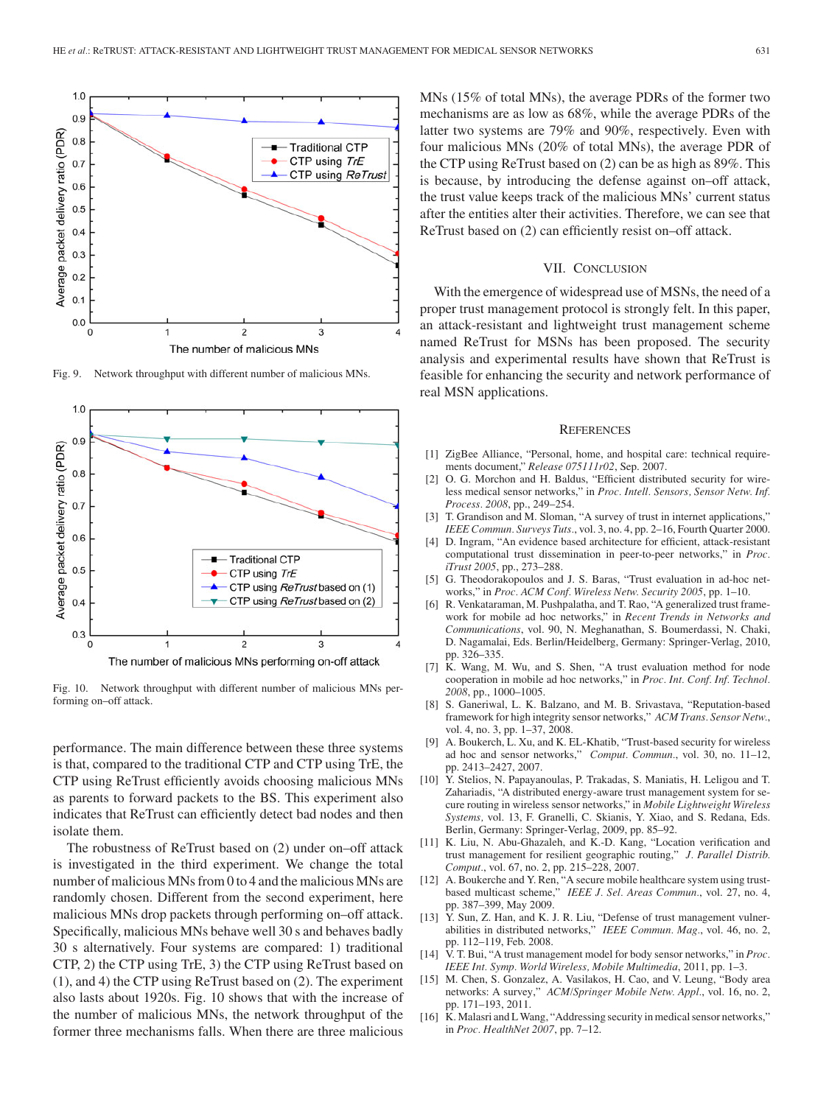

Fig. 9. Network throughput with different number of malicious MNs.



Fig. 10. Network throughput with different number of malicious MNs performing on–off attack.

performance. The main difference between these three systems is that, compared to the traditional CTP and CTP using TrE, the CTP using ReTrust efficiently avoids choosing malicious MNs as parents to forward packets to the BS. This experiment also indicates that ReTrust can efficiently detect bad nodes and then isolate them.

The robustness of ReTrust based on (2) under on–off attack is investigated in the third experiment. We change the total number of malicious MNs from 0 to 4 and the malicious MNs are randomly chosen. Different from the second experiment, here malicious MNs drop packets through performing on–off attack. Specifically, malicious MNs behave well 30 s and behaves badly 30 s alternatively. Four systems are compared: 1) traditional CTP, 2) the CTP using TrE, 3) the CTP using ReTrust based on (1), and 4) the CTP using ReTrust based on (2). The experiment also lasts about 1920s. Fig. 10 shows that with the increase of the number of malicious MNs, the network throughput of the former three mechanisms falls. When there are three malicious

MNs (15% of total MNs), the average PDRs of the former two mechanisms are as low as 68%, while the average PDRs of the latter two systems are 79% and 90%, respectively. Even with four malicious MNs (20% of total MNs), the average PDR of the CTP using ReTrust based on (2) can be as high as 89%. This is because, by introducing the defense against on–off attack, the trust value keeps track of the malicious MNs' current status after the entities alter their activities. Therefore, we can see that ReTrust based on (2) can efficiently resist on–off attack.

## VII. CONCLUSION

With the emergence of widespread use of MSNs, the need of a proper trust management protocol is strongly felt. In this paper, an attack-resistant and lightweight trust management scheme named ReTrust for MSNs has been proposed. The security analysis and experimental results have shown that ReTrust is feasible for enhancing the security and network performance of real MSN applications.

#### **REFERENCES**

- [1] ZigBee Alliance, "Personal, home, and hospital care: technical requirements document," *Release 075111r02*, Sep. 2007.
- [2] O. G. Morchon and H. Baldus, "Efficient distributed security for wireless medical sensor networks," in *Proc. Intell. Sensors, Sensor Netw. Inf. Process. 2008*, pp., 249–254.
- [3] T. Grandison and M. Sloman, "A survey of trust in internet applications," *IEEE Commun. Surveys Tuts.*, vol. 3, no. 4, pp. 2–16, Fourth Quarter 2000.
- [4] D. Ingram, "An evidence based architecture for efficient, attack-resistant computational trust dissemination in peer-to-peer networks," in *Proc. iTrust 2005*, pp., 273–288.
- [5] G. Theodorakopoulos and J. S. Baras, "Trust evaluation in ad-hoc networks," in *Proc. ACM Conf. Wireless Netw. Security 2005*, pp. 1–10.
- [6] R. Venkataraman, M. Pushpalatha, and T. Rao, "A generalized trust framework for mobile ad hoc networks," in *Recent Trends in Networks and Communications*, vol. 90, N. Meghanathan, S. Boumerdassi, N. Chaki, D. Nagamalai, Eds. Berlin/Heidelberg, Germany: Springer-Verlag, 2010, pp. 326–335.
- [7] K. Wang, M. Wu, and S. Shen, "A trust evaluation method for node cooperation in mobile ad hoc networks," in *Proc. Int. Conf. Inf. Technol. 2008*, pp., 1000–1005.
- [8] S. Ganeriwal, L. K. Balzano, and M. B. Srivastava, "Reputation-based framework for high integrity sensor networks," *ACM Trans. Sensor Netw.*, vol. 4, no. 3, pp. 1–37, 2008.
- [9] A. Boukerch, L. Xu, and K. EL-Khatib, "Trust-based security for wireless ad hoc and sensor networks," *Comput. Commun.*, vol. 30, no. 11–12, pp. 2413–2427, 2007.
- [10] Y. Stelios, N. Papayanoulas, P. Trakadas, S. Maniatis, H. Leligou and T. Zahariadis, "A distributed energy-aware trust management system for secure routing in wireless sensor networks," in *Mobile Lightweight Wireless Systems,* vol. 13, F. Granelli, C. Skianis, Y. Xiao, and S. Redana, Eds. Berlin, Germany: Springer-Verlag, 2009, pp. 85–92.
- [11] K. Liu, N. Abu-Ghazaleh, and K.-D. Kang, "Location verification and trust management for resilient geographic routing," *J. Parallel Distrib. Comput.*, vol. 67, no. 2, pp. 215–228, 2007.
- [12] A. Boukerche and Y. Ren, "A secure mobile healthcare system using trustbased multicast scheme," *IEEE J. Sel. Areas Commun.*, vol. 27, no. 4, pp. 387–399, May 2009.
- [13] Y. Sun, Z. Han, and K. J. R. Liu, "Defense of trust management vulnerabilities in distributed networks," *IEEE Commun. Mag.*, vol. 46, no. 2, pp. 112–119, Feb. 2008.
- [14] V. T. Bui, "A trust management model for body sensor networks," in *Proc. IEEE Int. Symp. World Wireless, Mobile Multimedia*, 2011, pp. 1–3.
- [15] M. Chen, S. Gonzalez, A. Vasilakos, H. Cao, and V. Leung, "Body area networks: A survey," *ACM/Springer Mobile Netw. Appl.*, vol. 16, no. 2, pp. 171–193, 2011.
- [16] K. Malasri and L Wang, "Addressing security in medical sensor networks," in *Proc. HealthNet 2007*, pp. 7–12.